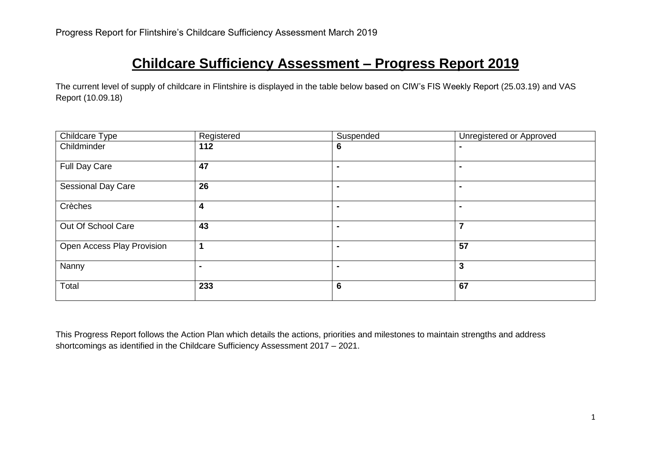# **Childcare Sufficiency Assessment – Progress Report 2019**

The current level of supply of childcare in Flintshire is displayed in the table below based on CIW's FIS Weekly Report (25.03.19) and VAS Report (10.09.18)

| Childcare Type             | Registered     | Suspended       | Unregistered or Approved |
|----------------------------|----------------|-----------------|--------------------------|
| Childminder                | $112$          | 6               |                          |
| Full Day Care              | 47             | $\blacksquare$  | $\blacksquare$           |
| <b>Sessional Day Care</b>  | 26             |                 | $\blacksquare$           |
| Crèches                    | 4              | $\blacksquare$  | $\blacksquare$           |
| Out Of School Care         | 43             | $\blacksquare$  | $\overline{7}$           |
| Open Access Play Provision | 1              | ۰               | 57                       |
| Nanny                      | $\blacksquare$ | $\blacksquare$  | 3                        |
| Total                      | 233            | $6\phantom{1}6$ | 67                       |

This Progress Report follows the Action Plan which details the actions, priorities and milestones to maintain strengths and address shortcomings as identified in the Childcare Sufficiency Assessment 2017 – 2021.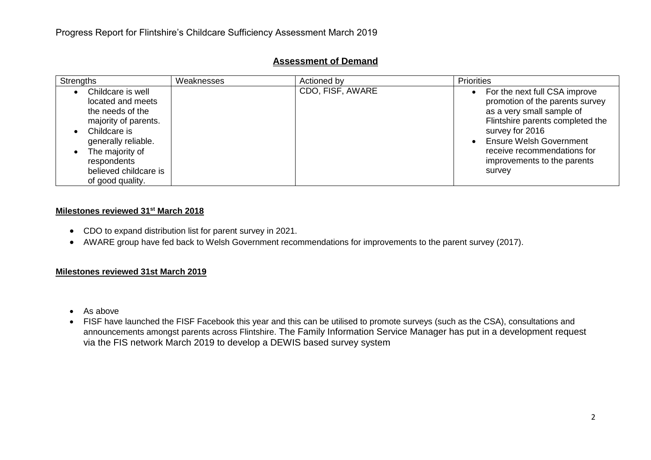| <b>Strengths</b>                                                                                                                                                                                         | Weaknesses | Actioned by      | <b>Priorities</b>                                                                                                                                                                                                                                              |
|----------------------------------------------------------------------------------------------------------------------------------------------------------------------------------------------------------|------------|------------------|----------------------------------------------------------------------------------------------------------------------------------------------------------------------------------------------------------------------------------------------------------------|
| Childcare is well<br>located and meets<br>the needs of the<br>majority of parents.<br>Childcare is<br>generally reliable.<br>The majority of<br>respondents<br>believed childcare is<br>of good quality. |            | CDO, FISF, AWARE | For the next full CSA improve<br>promotion of the parents survey<br>as a very small sample of<br>Flintshire parents completed the<br>survey for 2016<br><b>Ensure Welsh Government</b><br>receive recommendations for<br>improvements to the parents<br>survey |

## **Assessment of Demand**

## **Milestones reviewed 31st March 2018**

- CDO to expand distribution list for parent survey in 2021.
- AWARE group have fed back to Welsh Government recommendations for improvements to the parent survey (2017).

## **Milestones reviewed 31st March 2019**

- As above
- FISF have launched the FISF Facebook this year and this can be utilised to promote surveys (such as the CSA), consultations and announcements amongst parents across Flintshire. The Family Information Service Manager has put in a development request via the FIS network March 2019 to develop a DEWIS based survey system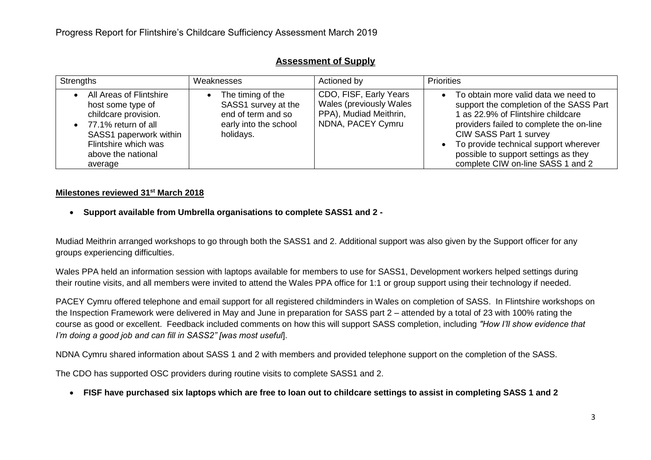| Strengths                                                                                                                                                                        | Weaknesses                                                                                           | Actioned by                                                                                      | <b>Priorities</b>                                                                                                                                                                                                                                                                                                                           |
|----------------------------------------------------------------------------------------------------------------------------------------------------------------------------------|------------------------------------------------------------------------------------------------------|--------------------------------------------------------------------------------------------------|---------------------------------------------------------------------------------------------------------------------------------------------------------------------------------------------------------------------------------------------------------------------------------------------------------------------------------------------|
| All Areas of Flintshire<br>host some type of<br>childcare provision.<br>• 77.1% return of all<br>SASS1 paperwork within<br>Flintshire which was<br>above the national<br>average | The timing of the<br>SASS1 survey at the<br>end of term and so<br>early into the school<br>holidays. | CDO, FISF, Early Years<br>Wales (previously Wales<br>PPA), Mudiad Meithrin,<br>NDNA, PACEY Cymru | To obtain more valid data we need to<br>$\bullet$<br>support the completion of the SASS Part<br>1 as 22.9% of Flintshire childcare<br>providers failed to complete the on-line<br>CIW SASS Part 1 survey<br>To provide technical support wherever<br>$\bullet$<br>possible to support settings as they<br>complete CIW on-line SASS 1 and 2 |

# **Assessment of Supply**

## **Milestones reviewed 31st March 2018**

**Support available from Umbrella organisations to complete SASS1 and 2 -**

Mudiad Meithrin arranged workshops to go through both the SASS1 and 2. Additional support was also given by the Support officer for any groups experiencing difficulties.

Wales PPA held an information session with laptops available for members to use for SASS1, Development workers helped settings during their routine visits, and all members were invited to attend the Wales PPA office for 1:1 or group support using their technology if needed.

PACEY Cymru offered telephone and email support for all registered childminders in Wales on completion of SASS. In Flintshire workshops on the Inspection Framework were delivered in May and June in preparation for SASS part 2 – attended by a total of 23 with 100% rating the course as good or excellent. Feedback included comments on how this will support SASS completion, including *"How I'll show evidence that I'm doing a good job and can fill in SASS2" [was most useful*].

NDNA Cymru shared information about SASS 1 and 2 with members and provided telephone support on the completion of the SASS.

The CDO has supported OSC providers during routine visits to complete SASS1 and 2.

**FISF have purchased six laptops which are free to loan out to childcare settings to assist in completing SASS 1 and 2**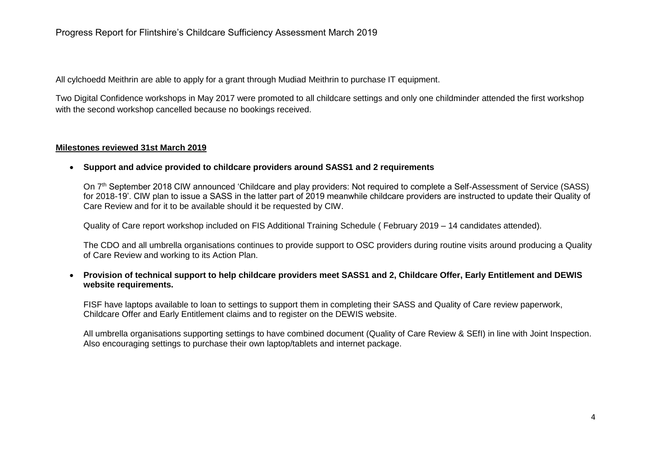## Progress Report for Flintshire's Childcare Sufficiency Assessment March 2019

All cylchoedd Meithrin are able to apply for a grant through Mudiad Meithrin to purchase IT equipment.

Two Digital Confidence workshops in May 2017 were promoted to all childcare settings and only one childminder attended the first workshop with the second workshop cancelled because no bookings received.

#### **Milestones reviewed 31st March 2019**

#### **Support and advice provided to childcare providers around SASS1 and 2 requirements**

On 7<sup>th</sup> September 2018 CIW announced 'Childcare and play providers: Not required to complete a Self-Assessment of Service (SASS) for 2018-19'. CIW plan to issue a SASS in the latter part of 2019 meanwhile childcare providers are instructed to update their Quality of Care Review and for it to be available should it be requested by CIW.

Quality of Care report workshop included on FIS Additional Training Schedule ( February 2019 – 14 candidates attended).

The CDO and all umbrella organisations continues to provide support to OSC providers during routine visits around producing a Quality of Care Review and working to its Action Plan.

## **Provision of technical support to help childcare providers meet SASS1 and 2, Childcare Offer, Early Entitlement and DEWIS website requirements.**

FISF have laptops available to loan to settings to support them in completing their SASS and Quality of Care review paperwork, Childcare Offer and Early Entitlement claims and to register on the DEWIS website.

All umbrella organisations supporting settings to have combined document (Quality of Care Review & SEfI) in line with Joint Inspection. Also encouraging settings to purchase their own laptop/tablets and internet package.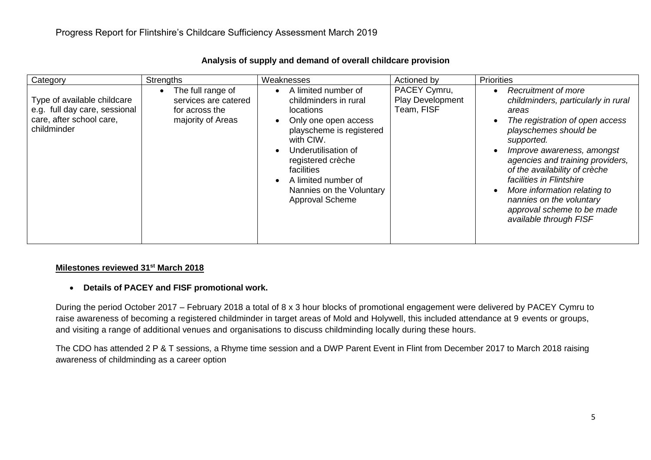| Category                                                                                                | Strengths                                                                                     | Weaknesses                                                                                                                                                                                                                                                        | Actioned by                                    | Priorities                                                                                                                                                                                                                                                                                                                                                                                              |
|---------------------------------------------------------------------------------------------------------|-----------------------------------------------------------------------------------------------|-------------------------------------------------------------------------------------------------------------------------------------------------------------------------------------------------------------------------------------------------------------------|------------------------------------------------|---------------------------------------------------------------------------------------------------------------------------------------------------------------------------------------------------------------------------------------------------------------------------------------------------------------------------------------------------------------------------------------------------------|
| Type of available childcare<br>e.g. full day care, sessional<br>care, after school care,<br>childminder | The full range of<br>$\bullet$<br>services are catered<br>for across the<br>majority of Areas | A limited number of<br>childminders in rural<br><b>locations</b><br>Only one open access<br>playscheme is registered<br>with CIW.<br>Underutilisation of<br>registered crèche<br>facilities<br>A limited number of<br>Nannies on the Voluntary<br>Approval Scheme | PACEY Cymru,<br>Play Development<br>Team, FISF | <b>Recruitment of more</b><br>childminders, particularly in rural<br>areas<br>The registration of open access<br>playschemes should be<br>supported.<br>Improve awareness, amongst<br>agencies and training providers,<br>of the availability of crèche<br>facilities in Flintshire<br>More information relating to<br>nannies on the voluntary<br>approval scheme to be made<br>available through FISF |

## **Analysis of supply and demand of overall childcare provision**

## **Milestones reviewed 31st March 2018**

## **Details of PACEY and FISF promotional work.**

During the period October 2017 – February 2018 a total of 8 x 3 hour blocks of promotional engagement were delivered by PACEY Cymru to raise awareness of becoming a registered childminder in target areas of Mold and Holywell, this included attendance at 9 events or groups, and visiting a range of additional venues and organisations to discuss childminding locally during these hours.

The CDO has attended 2 P & T sessions, a Rhyme time session and a DWP Parent Event in Flint from December 2017 to March 2018 raising awareness of childminding as a career option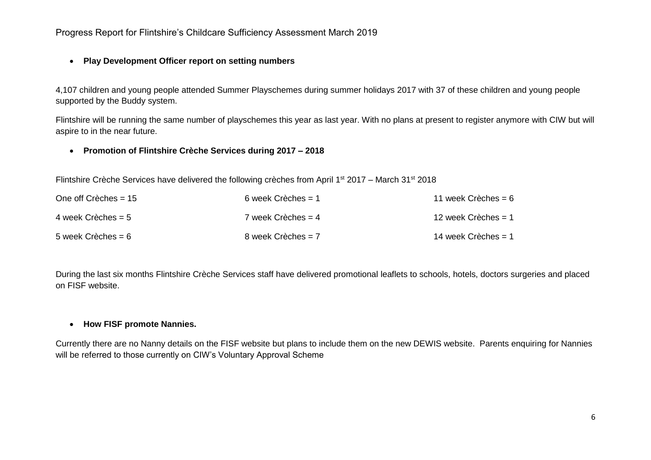# Progress Report for Flintshire's Childcare Sufficiency Assessment March 2019

## **Play Development Officer report on setting numbers**

4,107 children and young people attended Summer Playschemes during summer holidays 2017 with 37 of these children and young people supported by the Buddy system.

Flintshire will be running the same number of playschemes this year as last year. With no plans at present to register anymore with CIW but will aspire to in the near future.

## **Promotion of Flintshire Crèche Services during 2017 – 2018**

Flintshire Crèche Services have delivered the following crèches from April 1st 2017 – March 31st 2018

| One off Crèches $= 15$ | 6 week Crèches $= 1$ | 11 week Crèches = 6   |
|------------------------|----------------------|-----------------------|
| 4 week Crèches = $5$   | 7 week Crèches $=$ 4 | 12 week Crèches $=$ 1 |
| 5 week Crèches = $6$   | 8 week Crèches $= 7$ | 14 week Crèches = $1$ |

During the last six months Flintshire Crèche Services staff have delivered promotional leaflets to schools, hotels, doctors surgeries and placed on FISF website.

## **How FISF promote Nannies.**

Currently there are no Nanny details on the FISF website but plans to include them on the new DEWIS website. Parents enquiring for Nannies will be referred to those currently on CIW's Voluntary Approval Scheme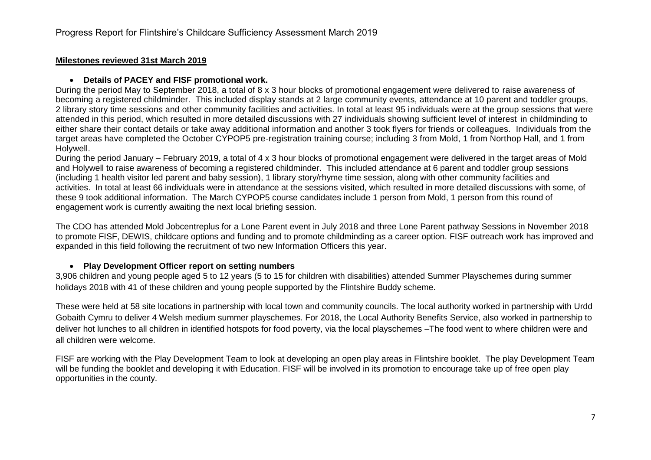#### **Details of PACEY and FISF promotional work.**

During the period May to September 2018, a total of 8 x 3 hour blocks of promotional engagement were delivered to raise awareness of becoming a registered childminder. This included display stands at 2 large community events, attendance at 10 parent and toddler groups, 2 library story time sessions and other community facilities and activities. In total at least 95 individuals were at the group sessions that were attended in this period, which resulted in more detailed discussions with 27 individuals showing sufficient level of interest in childminding to either share their contact details or take away additional information and another 3 took flyers for friends or colleagues. Individuals from the target areas have completed the October CYPOP5 pre-registration training course; including 3 from Mold, 1 from Northop Hall, and 1 from Holywell.

During the period January – February 2019, a total of 4 x 3 hour blocks of promotional engagement were delivered in the target areas of Mold and Holywell to raise awareness of becoming a registered childminder. This included attendance at 6 parent and toddler group sessions (including 1 health visitor led parent and baby session), 1 library story/rhyme time session, along with other community facilities and activities. In total at least 66 individuals were in attendance at the sessions visited, which resulted in more detailed discussions with some, of these 9 took additional information. The March CYPOP5 course candidates include 1 person from Mold, 1 person from this round of engagement work is currently awaiting the next local briefing session.

The CDO has attended Mold Jobcentreplus for a Lone Parent event in July 2018 and three Lone Parent pathway Sessions in November 2018 to promote FISF, DEWIS, childcare options and funding and to promote childminding as a career option. FISF outreach work has improved and expanded in this field following the recruitment of two new Information Officers this year.

## **Play Development Officer report on setting numbers**

3,906 children and young people aged 5 to 12 years (5 to 15 for children with disabilities) attended Summer Playschemes during summer holidays 2018 with 41 of these children and young people supported by the Flintshire Buddy scheme.

These were held at 58 site locations in partnership with local town and community councils. The local authority worked in partnership with Urdd Gobaith Cymru to deliver 4 Welsh medium summer playschemes. For 2018, the Local Authority Benefits Service, also worked in partnership to deliver hot lunches to all children in identified hotspots for food poverty, via the local playschemes –The food went to where children were and all children were welcome.

FISF are working with the Play Development Team to look at developing an open play areas in Flintshire booklet. The play Development Team will be funding the booklet and developing it with Education. FISF will be involved in its promotion to encourage take up of free open play opportunities in the county.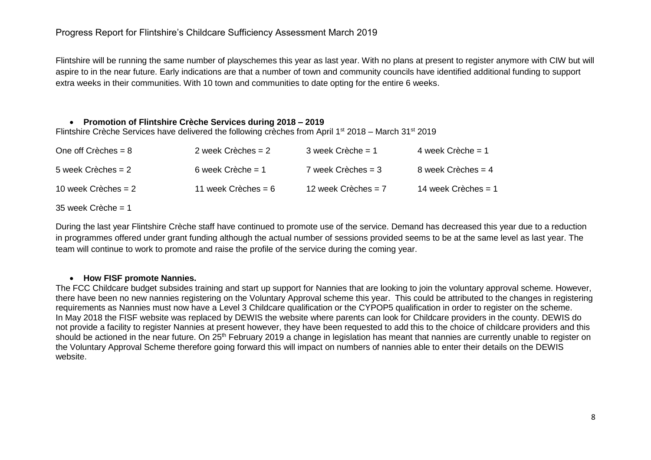Flintshire will be running the same number of playschemes this year as last year. With no plans at present to register anymore with CIW but will aspire to in the near future. Early indications are that a number of town and community councils have identified additional funding to support extra weeks in their communities. With 10 town and communities to date opting for the entire 6 weeks.

## **Promotion of Flintshire Crèche Services during 2018 – 2019**

Flintshire Crèche Services have delivered the following crèches from April 1st 2018 – March 31st 2019

| One off Crèches $= 8$ | 2 week Crèches $= 2$  | $3$ week Crèche = 1   | 4 week Crèche = $1$   |
|-----------------------|-----------------------|-----------------------|-----------------------|
| 5 week Crèches $= 2$  | 6 week Crèche = $1$   | 7 week Crèches = 3    | 8 week Crèches = $4$  |
| 10 week Crèches = $2$ | 11 week Crèches = $6$ | 12 week Crèches $= 7$ | 14 week Crèches $= 1$ |

 $35$  week Crèche = 1

During the last year Flintshire Crèche staff have continued to promote use of the service. Demand has decreased this year due to a reduction in programmes offered under grant funding although the actual number of sessions provided seems to be at the same level as last year. The team will continue to work to promote and raise the profile of the service during the coming year.

## **How FISF promote Nannies.**

The FCC Childcare budget subsides training and start up support for Nannies that are looking to join the voluntary approval scheme. However, there have been no new nannies registering on the Voluntary Approval scheme this year. This could be attributed to the changes in registering requirements as Nannies must now have a Level 3 Childcare qualification or the CYPOP5 qualification in order to register on the scheme. In May 2018 the FISF website was replaced by DEWIS the website where parents can look for Childcare providers in the county. DEWIS do not provide a facility to register Nannies at present however, they have been requested to add this to the choice of childcare providers and this should be actioned in the near future. On 25<sup>th</sup> February 2019 a change in legislation has meant that nannies are currently unable to register on the Voluntary Approval Scheme therefore going forward this will impact on numbers of nannies able to enter their details on the DEWIS website.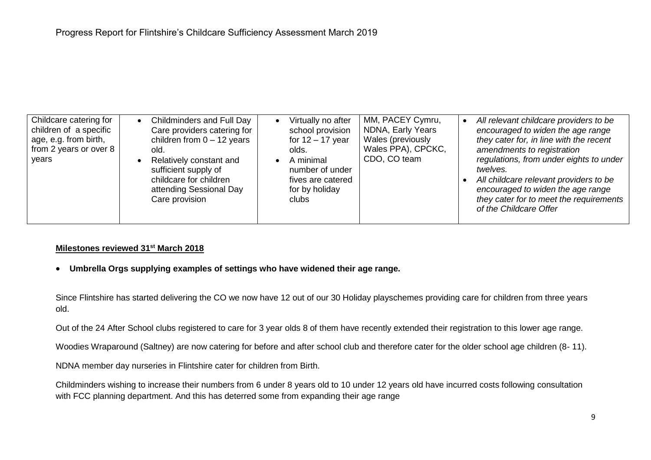**Umbrella Orgs supplying examples of settings who have widened their age range.**

Since Flintshire has started delivering the CO we now have 12 out of our 30 Holiday playschemes providing care for children from three years old.

Out of the 24 After School clubs registered to care for 3 year olds 8 of them have recently extended their registration to this lower age range.

Woodies Wraparound (Saltney) are now catering for before and after school club and therefore cater for the older school age children (8- 11).

NDNA member day nurseries in Flintshire cater for children from Birth.

Childminders wishing to increase their numbers from 6 under 8 years old to 10 under 12 years old have incurred costs following consultation with FCC planning department. And this has deterred some from expanding their age range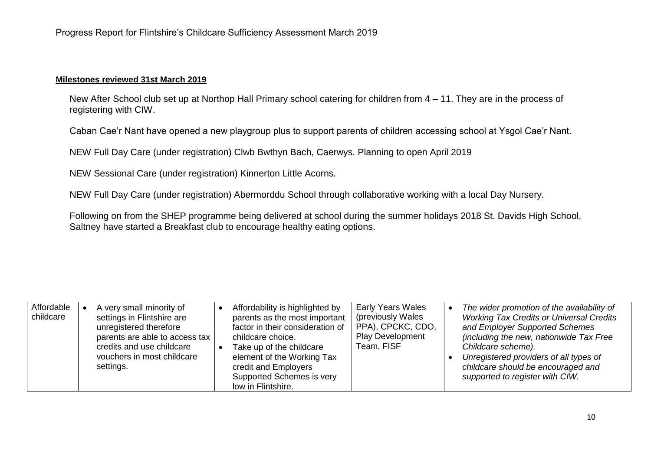New After School club set up at Northop Hall Primary school catering for children from 4 – 11. They are in the process of registering with CIW.

Caban Cae'r Nant have opened a new playgroup plus to support parents of children accessing school at Ysgol Cae'r Nant.

NEW Full Day Care (under registration) Clwb Bwthyn Bach, Caerwys. Planning to open April 2019

NEW Sessional Care (under registration) Kinnerton Little Acorns.

NEW Full Day Care (under registration) Abermorddu School through collaborative working with a local Day Nursery.

Following on from the SHEP programme being delivered at school during the summer holidays 2018 St. Davids High School, Saltney have started a Breakfast club to encourage healthy eating options.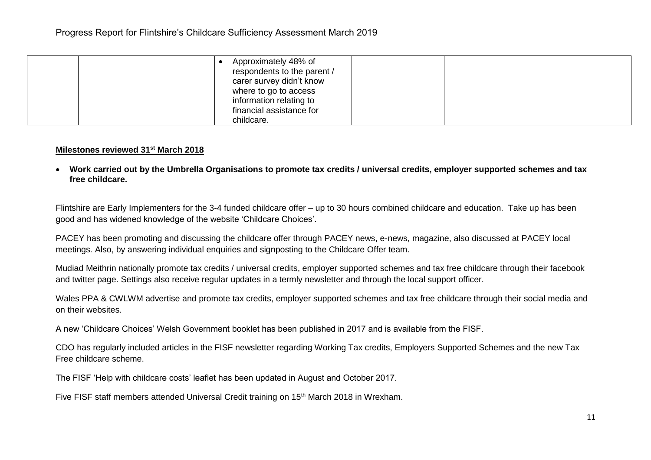|  | Approximately 48% of<br>respondents to the parent /<br>carer survey didn't know<br>where to go to access |  |
|--|----------------------------------------------------------------------------------------------------------|--|
|  | information relating to<br>financial assistance for<br>childcare.                                        |  |

 **Work carried out by the Umbrella Organisations to promote tax credits / universal credits, employer supported schemes and tax free childcare.**

Flintshire are Early Implementers for the 3-4 funded childcare offer – up to 30 hours combined childcare and education. Take up has been good and has widened knowledge of the website 'Childcare Choices'.

PACEY has been promoting and discussing the childcare offer through PACEY news, e-news, magazine, also discussed at PACEY local meetings. Also, by answering individual enquiries and signposting to the Childcare Offer team.

Mudiad Meithrin nationally promote tax credits / universal credits, employer supported schemes and tax free childcare through their facebook and twitter page. Settings also receive regular updates in a termly newsletter and through the local support officer.

Wales PPA & CWLWM advertise and promote tax credits, employer supported schemes and tax free childcare through their social media and on their websites.

A new 'Childcare Choices' Welsh Government booklet has been published in 2017 and is available from the FISF.

CDO has regularly included articles in the FISF newsletter regarding Working Tax credits, Employers Supported Schemes and the new Tax Free childcare scheme.

The FISF 'Help with childcare costs' leaflet has been updated in August and October 2017.

Five FISF staff members attended Universal Credit training on 15<sup>th</sup> March 2018 in Wrexham.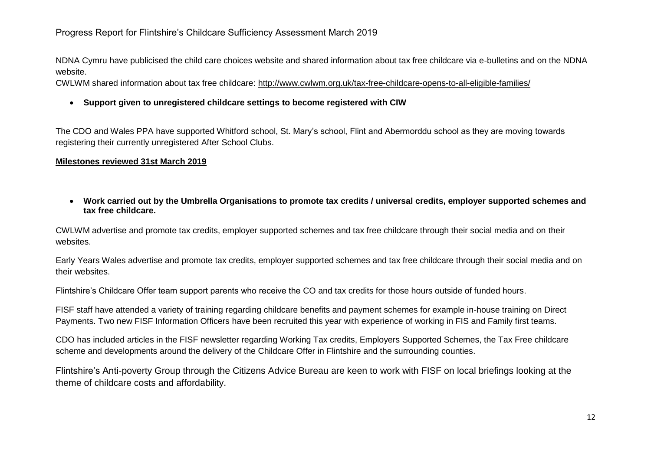NDNA Cymru have publicised the child care choices website and shared information about tax free childcare via e-bulletins and on the NDNA website.

CWLWM shared information about tax free childcare:<http://www.cwlwm.org.uk/tax-free-childcare-opens-to-all-eligible-families/>

**Support given to unregistered childcare settings to become registered with CIW**

The CDO and Wales PPA have supported Whitford school, St. Mary's school, Flint and Abermorddu school as they are moving towards registering their currently unregistered After School Clubs.

## **Milestones reviewed 31st March 2019**

 **Work carried out by the Umbrella Organisations to promote tax credits / universal credits, employer supported schemes and tax free childcare.**

CWLWM advertise and promote tax credits, employer supported schemes and tax free childcare through their social media and on their websites.

Early Years Wales advertise and promote tax credits, employer supported schemes and tax free childcare through their social media and on their websites.

Flintshire's Childcare Offer team support parents who receive the CO and tax credits for those hours outside of funded hours.

FISF staff have attended a variety of training regarding childcare benefits and payment schemes for example in-house training on Direct Payments. Two new FISF Information Officers have been recruited this year with experience of working in FIS and Family first teams.

CDO has included articles in the FISF newsletter regarding Working Tax credits, Employers Supported Schemes, the Tax Free childcare scheme and developments around the delivery of the Childcare Offer in Flintshire and the surrounding counties.

Flintshire's Anti-poverty Group through the Citizens Advice Bureau are keen to work with FISF on local briefings looking at the theme of childcare costs and affordability.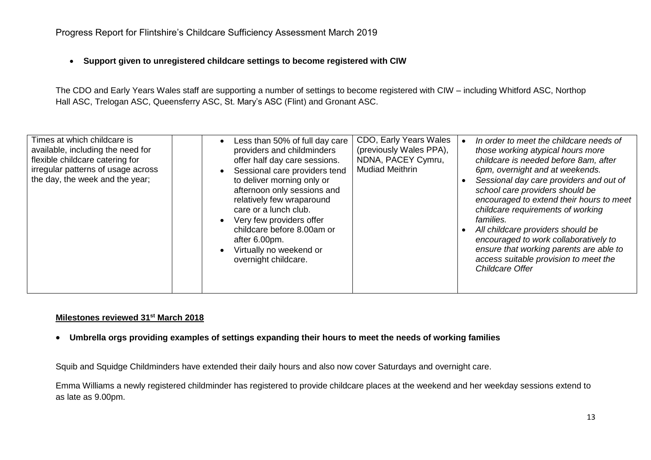**Support given to unregistered childcare settings to become registered with CIW**

The CDO and Early Years Wales staff are supporting a number of settings to become registered with CIW – including Whitford ASC, Northop Hall ASC, Trelogan ASC, Queensferry ASC, St. Mary's ASC (Flint) and Gronant ASC.

| Times at which childcare is<br>available, including the need for<br>flexible childcare catering for<br>irregular patterns of usage across<br>the day, the week and the year; | CDO, Early Years Wales<br>Less than 50% of full day care<br>(previously Wales PPA),<br>providers and childminders<br>NDNA, PACEY Cymru,<br>offer half day care sessions.<br><b>Mudiad Meithrin</b><br>Sessional care providers tend<br>to deliver morning only or<br>afternoon only sessions and<br>relatively few wraparound<br>care or a lunch club.<br>Very few providers offer<br>childcare before 8.00am or<br>after 6.00pm.<br>Virtually no weekend or<br>overnight childcare. | In order to meet the childcare needs of<br>those working atypical hours more<br>childcare is needed before 8am, after<br>6pm, overnight and at weekends.<br>Sessional day care providers and out of<br>school care providers should be<br>encouraged to extend their hours to meet<br>childcare requirements of working<br><i>families.</i><br>All childcare providers should be<br>encouraged to work collaboratively to<br>ensure that working parents are able to<br>access suitable provision to meet the<br>Childcare Offer |
|------------------------------------------------------------------------------------------------------------------------------------------------------------------------------|--------------------------------------------------------------------------------------------------------------------------------------------------------------------------------------------------------------------------------------------------------------------------------------------------------------------------------------------------------------------------------------------------------------------------------------------------------------------------------------|----------------------------------------------------------------------------------------------------------------------------------------------------------------------------------------------------------------------------------------------------------------------------------------------------------------------------------------------------------------------------------------------------------------------------------------------------------------------------------------------------------------------------------|
|------------------------------------------------------------------------------------------------------------------------------------------------------------------------------|--------------------------------------------------------------------------------------------------------------------------------------------------------------------------------------------------------------------------------------------------------------------------------------------------------------------------------------------------------------------------------------------------------------------------------------------------------------------------------------|----------------------------------------------------------------------------------------------------------------------------------------------------------------------------------------------------------------------------------------------------------------------------------------------------------------------------------------------------------------------------------------------------------------------------------------------------------------------------------------------------------------------------------|

## **Milestones reviewed 31st March 2018**

**Umbrella orgs providing examples of settings expanding their hours to meet the needs of working families** 

Squib and Squidge Childminders have extended their daily hours and also now cover Saturdays and overnight care.

Emma Williams a newly registered childminder has registered to provide childcare places at the weekend and her weekday sessions extend to as late as 9.00pm.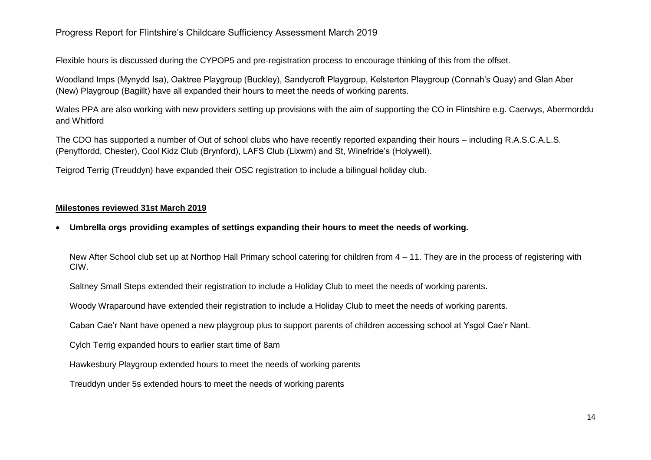# Progress Report for Flintshire's Childcare Sufficiency Assessment March 2019

Flexible hours is discussed during the CYPOP5 and pre-registration process to encourage thinking of this from the offset.

Woodland Imps (Mynydd Isa), Oaktree Playgroup (Buckley), Sandycroft Playgroup, Kelsterton Playgroup (Connah's Quay) and Glan Aber (New) Playgroup (Bagillt) have all expanded their hours to meet the needs of working parents.

Wales PPA are also working with new providers setting up provisions with the aim of supporting the CO in Flintshire e.g. Caerwys, Abermorddu and Whitford

The CDO has supported a number of Out of school clubs who have recently reported expanding their hours – including R.A.S.C.A.L.S. (Penyffordd, Chester), Cool Kidz Club (Brynford), LAFS Club (Lixwm) and St, Winefride's (Holywell).

Teigrod Terrig (Treuddyn) have expanded their OSC registration to include a bilingual holiday club.

## **Milestones reviewed 31st March 2019**

**Umbrella orgs providing examples of settings expanding their hours to meet the needs of working.**

New After School club set up at Northop Hall Primary school catering for children from 4 – 11. They are in the process of registering with CIW.

Saltney Small Steps extended their registration to include a Holiday Club to meet the needs of working parents.

Woody Wraparound have extended their registration to include a Holiday Club to meet the needs of working parents.

Caban Cae'r Nant have opened a new playgroup plus to support parents of children accessing school at Ysgol Cae'r Nant.

Cylch Terrig expanded hours to earlier start time of 8am

Hawkesbury Playgroup extended hours to meet the needs of working parents

Treuddyn under 5s extended hours to meet the needs of working parents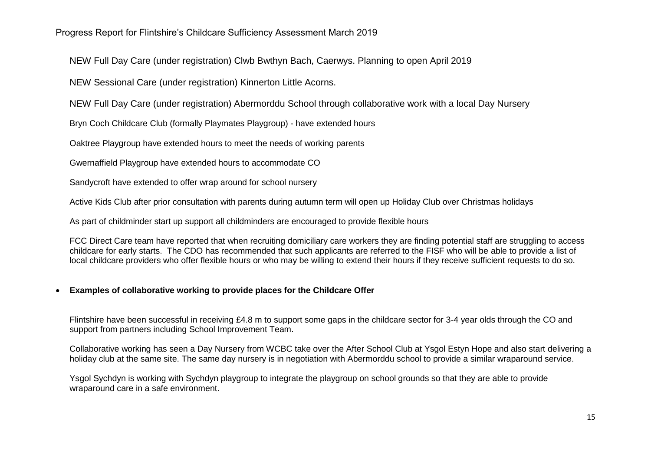NEW Full Day Care (under registration) Clwb Bwthyn Bach, Caerwys. Planning to open April 2019

NEW Sessional Care (under registration) Kinnerton Little Acorns.

NEW Full Day Care (under registration) Abermorddu School through collaborative work with a local Day Nursery

Bryn Coch Childcare Club (formally Playmates Playgroup) - have extended hours

Oaktree Playgroup have extended hours to meet the needs of working parents

Gwernaffield Playgroup have extended hours to accommodate CO

Sandycroft have extended to offer wrap around for school nursery

Active Kids Club after prior consultation with parents during autumn term will open up Holiday Club over Christmas holidays

As part of childminder start up support all childminders are encouraged to provide flexible hours

FCC Direct Care team have reported that when recruiting domiciliary care workers they are finding potential staff are struggling to access childcare for early starts. The CDO has recommended that such applicants are referred to the FISF who will be able to provide a list of local childcare providers who offer flexible hours or who may be willing to extend their hours if they receive sufficient requests to do so.

# **Examples of collaborative working to provide places for the Childcare Offer**

Flintshire have been successful in receiving £4.8 m to support some gaps in the childcare sector for 3-4 year olds through the CO and support from partners including School Improvement Team.

Collaborative working has seen a Day Nursery from WCBC take over the After School Club at Ysgol Estyn Hope and also start delivering a holiday club at the same site. The same day nursery is in negotiation with Abermorddu school to provide a similar wraparound service.

Ysgol Sychdyn is working with Sychdyn playgroup to integrate the playgroup on school grounds so that they are able to provide wraparound care in a safe environment.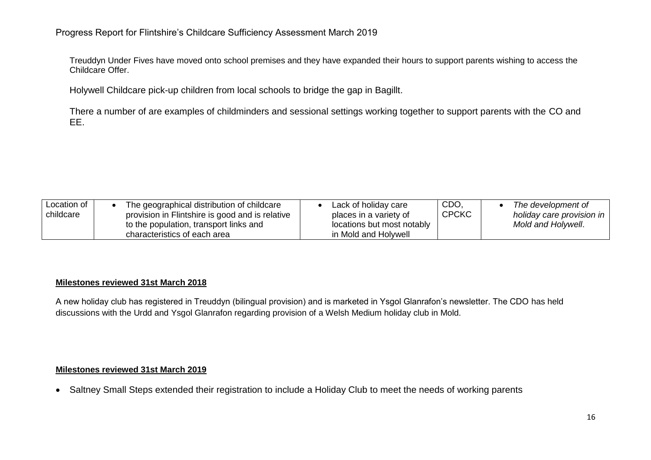Treuddyn Under Fives have moved onto school premises and they have expanded their hours to support parents wishing to access the Childcare Offer.

Holywell Childcare pick-up children from local schools to bridge the gap in Bagillt.

There a number of are examples of childminders and sessional settings working together to support parents with the CO and EE.

## **Milestones reviewed 31st March 2018**

A new holiday club has registered in Treuddyn (bilingual provision) and is marketed in Ysgol Glanrafon's newsletter. The CDO has held discussions with the Urdd and Ysgol Glanrafon regarding provision of a Welsh Medium holiday club in Mold.

## **Milestones reviewed 31st March 2019**

• Saltney Small Steps extended their registration to include a Holiday Club to meet the needs of working parents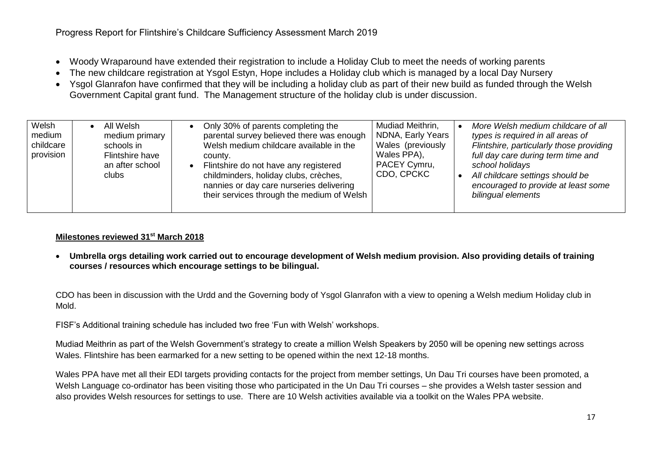- Woody Wraparound have extended their registration to include a Holiday Club to meet the needs of working parents
- The new childcare registration at Ysgol Estyn, Hope includes a Holiday club which is managed by a local Day Nursery
- Ysgol Glanrafon have confirmed that they will be including a holiday club as part of their new build as funded through the Welsh Government Capital grant fund. The Management structure of the holiday club is under discussion.

| Welsh<br>medium<br>childcare<br>provision | All Welsh<br>medium primary<br>schools in<br>Flintshire have<br>an after school<br>clubs | Only 30% of parents completing the<br>parental survey believed there was enough<br>Welsh medium childcare available in the<br>county.<br>Flintshire do not have any registered<br>childminders, holiday clubs, crèches,<br>nannies or day care nurseries delivering<br>their services through the medium of Welsh | Mudiad Meithrin,<br>NDNA, Early Years<br>Wales (previously<br>Wales PPA),<br>PACEY Cymru,<br>CDO, CPCKC | More Welsh medium childcare of all<br>types is required in all areas of<br>Flintshire, particularly those providing<br>full day care during term time and<br>school holidays<br>All childcare settings should be<br>encouraged to provide at least some<br>bilingual elements |
|-------------------------------------------|------------------------------------------------------------------------------------------|-------------------------------------------------------------------------------------------------------------------------------------------------------------------------------------------------------------------------------------------------------------------------------------------------------------------|---------------------------------------------------------------------------------------------------------|-------------------------------------------------------------------------------------------------------------------------------------------------------------------------------------------------------------------------------------------------------------------------------|
|-------------------------------------------|------------------------------------------------------------------------------------------|-------------------------------------------------------------------------------------------------------------------------------------------------------------------------------------------------------------------------------------------------------------------------------------------------------------------|---------------------------------------------------------------------------------------------------------|-------------------------------------------------------------------------------------------------------------------------------------------------------------------------------------------------------------------------------------------------------------------------------|

 **Umbrella orgs detailing work carried out to encourage development of Welsh medium provision. Also providing details of training courses / resources which encourage settings to be bilingual.**

CDO has been in discussion with the Urdd and the Governing body of Ysgol Glanrafon with a view to opening a Welsh medium Holiday club in Mold.

FISF's Additional training schedule has included two free 'Fun with Welsh' workshops.

Mudiad Meithrin as part of the Welsh Government's strategy to create a million Welsh Speakers by 2050 will be opening new settings across Wales. Flintshire has been earmarked for a new setting to be opened within the next 12-18 months.

Wales PPA have met all their EDI targets providing contacts for the project from member settings, Un Dau Tri courses have been promoted, a Welsh Language co-ordinator has been visiting those who participated in the Un Dau Tri courses – she provides a Welsh taster session and also provides Welsh resources for settings to use. There are 10 Welsh activities available via a toolkit on the Wales PPA website.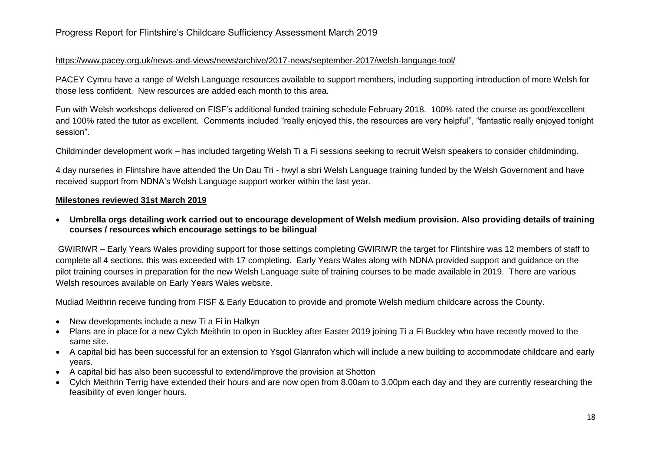## <https://www.pacey.org.uk/news-and-views/news/archive/2017-news/september-2017/welsh-language-tool/>

PACEY Cymru have a range of Welsh Language resources available to support members, including supporting introduction of more Welsh for those less confident. New resources are added each month to this area.

Fun with Welsh workshops delivered on FISF's additional funded training schedule February 2018. 100% rated the course as good/excellent and 100% rated the tutor as excellent. Comments included "really enjoyed this, the resources are very helpful", "fantastic really enjoyed tonight session".

Childminder development work – has included targeting Welsh Ti a Fi sessions seeking to recruit Welsh speakers to consider childminding.

4 day nurseries in Flintshire have attended the Un Dau Tri - hwyl a sbri Welsh Language training funded by the Welsh Government and have received support from NDNA's Welsh Language support worker within the last year.

## **Milestones reviewed 31st March 2019**

 **Umbrella orgs detailing work carried out to encourage development of Welsh medium provision. Also providing details of training courses / resources which encourage settings to be bilingual**

GWIRIWR – Early Years Wales providing support for those settings completing GWIRIWR the target for Flintshire was 12 members of staff to complete all 4 sections, this was exceeded with 17 completing. Early Years Wales along with NDNA provided support and guidance on the pilot training courses in preparation for the new Welsh Language suite of training courses to be made available in 2019. There are various Welsh resources available on Early Years Wales website.

Mudiad Meithrin receive funding from FISF & Early Education to provide and promote Welsh medium childcare across the County.

- New developments include a new Ti a Fi in Halkyn
- Plans are in place for a new Cylch Meithrin to open in Buckley after Easter 2019 joining Ti a Fi Buckley who have recently moved to the same site.
- A capital bid has been successful for an extension to Ysgol Glanrafon which will include a new building to accommodate childcare and early years.
- A capital bid has also been successful to extend/improve the provision at Shotton
- Cylch Meithrin Terrig have extended their hours and are now open from 8.00am to 3.00pm each day and they are currently researching the feasibility of even longer hours.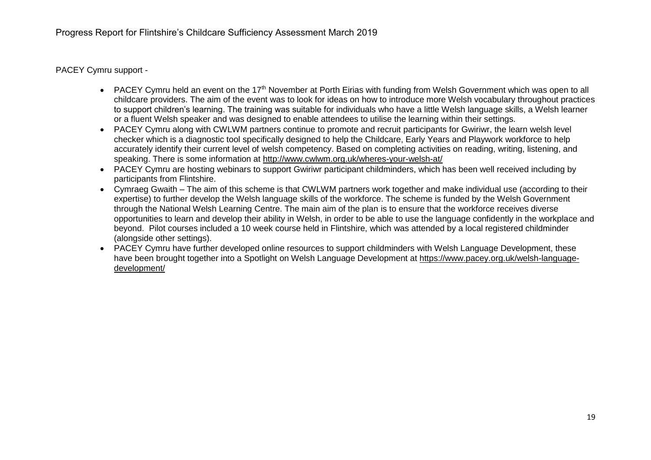PACEY Cymru support -

- PACEY Cymru held an event on the 17<sup>th</sup> November at Porth Eirias with funding from Welsh Government which was open to all childcare providers. The aim of the event was to look for ideas on how to introduce more Welsh vocabulary throughout practices to support children's learning. The training was suitable for individuals who have a little Welsh language skills, a Welsh learner or a fluent Welsh speaker and was designed to enable attendees to utilise the learning within their settings.
- PACEY Cymru along with CWLWM partners continue to promote and recruit participants for Gwiriwr, the learn welsh level checker which is a diagnostic tool specifically designed to help the Childcare, Early Years and Playwork workforce to help accurately identify their current level of welsh competency. Based on completing activities on reading, writing, listening, and speaking. There is some information at<http://www.cwlwm.org.uk/wheres-your-welsh-at/>
- PACEY Cymru are hosting webinars to support Gwiriwr participant childminders, which has been well received including by participants from Flintshire.
- Cymraeg Gwaith The aim of this scheme is that CWLWM partners work together and make individual use (according to their expertise) to further develop the Welsh language skills of the workforce. The scheme is funded by the Welsh Government through the National Welsh Learning Centre. The main aim of the plan is to ensure that the workforce receives diverse opportunities to learn and develop their ability in Welsh, in order to be able to use the language confidently in the workplace and beyond. Pilot courses included a 10 week course held in Flintshire, which was attended by a local registered childminder (alongside other settings).
- PACEY Cymru have further developed online resources to support childminders with Welsh Language Development, these have been brought together into a Spotlight on Welsh Language Development at [https://www.pacey.org.uk/welsh-language](https://www.pacey.org.uk/welsh-language-development/)[development/](https://www.pacey.org.uk/welsh-language-development/)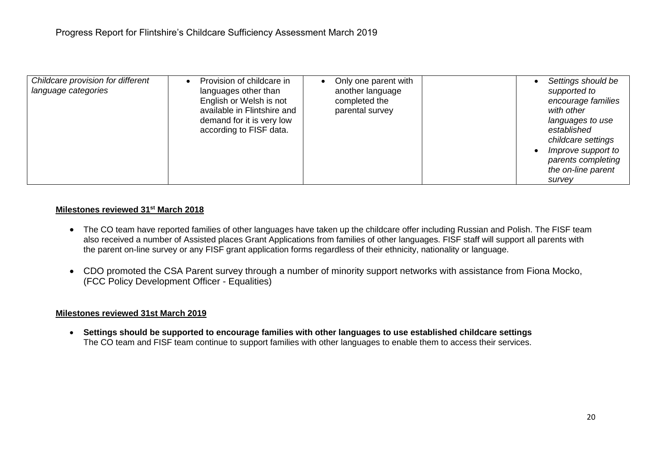| Childcare provision for different<br>language categories | Provision of childcare in<br>languages other than<br>English or Welsh is not<br>available in Flintshire and<br>demand for it is very low<br>according to FISF data. | Only one parent with<br>another language<br>completed the<br>parental survey |  | supported to<br>with other<br>established<br>survev | Settings should be<br>encourage families<br>languages to use<br>childcare settings<br>Improve support to<br>parents completing<br>the on-line parent |
|----------------------------------------------------------|---------------------------------------------------------------------------------------------------------------------------------------------------------------------|------------------------------------------------------------------------------|--|-----------------------------------------------------|------------------------------------------------------------------------------------------------------------------------------------------------------|
|----------------------------------------------------------|---------------------------------------------------------------------------------------------------------------------------------------------------------------------|------------------------------------------------------------------------------|--|-----------------------------------------------------|------------------------------------------------------------------------------------------------------------------------------------------------------|

- The CO team have reported families of other languages have taken up the childcare offer including Russian and Polish. The FISF team also received a number of Assisted places Grant Applications from families of other languages. FISF staff will support all parents with the parent on-line survey or any FISF grant application forms regardless of their ethnicity, nationality or language.
- CDO promoted the CSA Parent survey through a number of minority support networks with assistance from Fiona Mocko, (FCC Policy Development Officer - Equalities)

## **Milestones reviewed 31st March 2019**

 **Settings should be supported to encourage families with other languages to use established childcare settings** The CO team and FISF team continue to support families with other languages to enable them to access their services.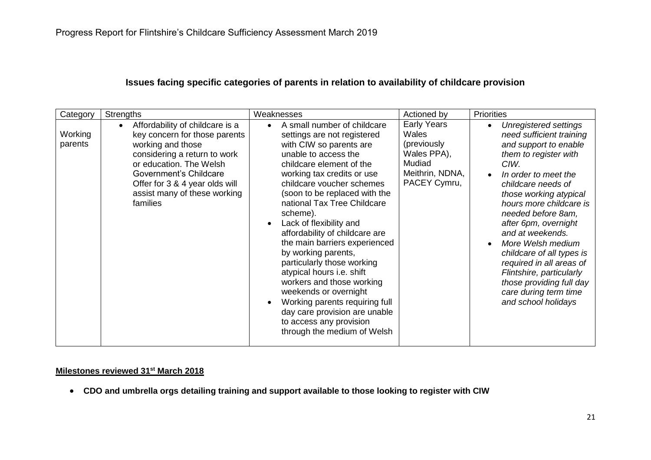# **Issues facing specific categories of parents in relation to availability of childcare provision**

| Category           | <b>Strengths</b>                                                                                                                                                                                                                                                      | Weaknesses                                                                                                                                                                                                                                                                                                                                                                                                                                                                                                                                                                                                                                                                    | Actioned by                                                                                             | <b>Priorities</b>                                                                                                                                                                                                                                                                                                                                                                                                                                                                   |
|--------------------|-----------------------------------------------------------------------------------------------------------------------------------------------------------------------------------------------------------------------------------------------------------------------|-------------------------------------------------------------------------------------------------------------------------------------------------------------------------------------------------------------------------------------------------------------------------------------------------------------------------------------------------------------------------------------------------------------------------------------------------------------------------------------------------------------------------------------------------------------------------------------------------------------------------------------------------------------------------------|---------------------------------------------------------------------------------------------------------|-------------------------------------------------------------------------------------------------------------------------------------------------------------------------------------------------------------------------------------------------------------------------------------------------------------------------------------------------------------------------------------------------------------------------------------------------------------------------------------|
| Working<br>parents | Affordability of childcare is a<br>$\bullet$<br>key concern for those parents<br>working and those<br>considering a return to work<br>or education. The Welsh<br>Government's Childcare<br>Offer for 3 & 4 year olds will<br>assist many of these working<br>families | A small number of childcare<br>$\bullet$<br>settings are not registered<br>with CIW so parents are<br>unable to access the<br>childcare element of the<br>working tax credits or use<br>childcare voucher schemes<br>(soon to be replaced with the<br>national Tax Tree Childcare<br>scheme).<br>Lack of flexibility and<br>$\bullet$<br>affordability of childcare are<br>the main barriers experienced<br>by working parents,<br>particularly those working<br>atypical hours i.e. shift<br>workers and those working<br>weekends or overnight<br>Working parents requiring full<br>day care provision are unable<br>to access any provision<br>through the medium of Welsh | <b>Early Years</b><br>Wales<br>(previously)<br>Wales PPA),<br>Mudiad<br>Meithrin, NDNA,<br>PACEY Cymru, | Unregistered settings<br>$\bullet$<br>need sufficient training<br>and support to enable<br>them to register with<br>CIW.<br>In order to meet the<br>childcare needs of<br>those working atypical<br>hours more childcare is<br>needed before 8am,<br>after 6pm, overnight<br>and at weekends.<br>More Welsh medium<br>childcare of all types is<br>required in all areas of<br>Flintshire, particularly<br>those providing full day<br>care during term time<br>and school holidays |

# **Milestones reviewed 31st March 2018**

**CDO and umbrella orgs detailing training and support available to those looking to register with CIW**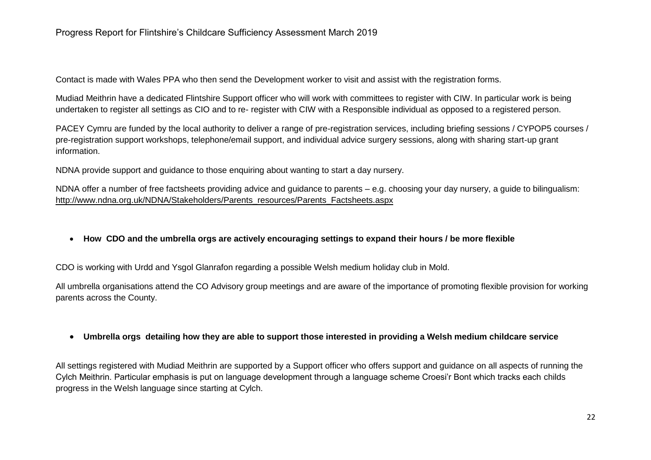Contact is made with Wales PPA who then send the Development worker to visit and assist with the registration forms.

Mudiad Meithrin have a dedicated Flintshire Support officer who will work with committees to register with CIW. In particular work is being undertaken to register all settings as CIO and to re- register with CIW with a Responsible individual as opposed to a registered person.

PACEY Cymru are funded by the local authority to deliver a range of pre-registration services, including briefing sessions / CYPOP5 courses / pre-registration support workshops, telephone/email support, and individual advice surgery sessions, along with sharing start-up grant information.

NDNA provide support and guidance to those enquiring about wanting to start a day nursery.

NDNA offer a number of free factsheets providing advice and guidance to parents – e.g. choosing your day nursery, a guide to bilingualism: [http://www.ndna.org.uk/NDNA/Stakeholders/Parents\\_resources/Parents\\_Factsheets.aspx](http://www.ndna.org.uk/NDNA/Stakeholders/Parents_resources/Parents_Factsheets.aspx)

**How CDO and the umbrella orgs are actively encouraging settings to expand their hours / be more flexible**

CDO is working with Urdd and Ysgol Glanrafon regarding a possible Welsh medium holiday club in Mold.

All umbrella organisations attend the CO Advisory group meetings and are aware of the importance of promoting flexible provision for working parents across the County.

# **Umbrella orgs detailing how they are able to support those interested in providing a Welsh medium childcare service**

All settings registered with Mudiad Meithrin are supported by a Support officer who offers support and guidance on all aspects of running the Cylch Meithrin. Particular emphasis is put on language development through a language scheme Croesi'r Bont which tracks each childs progress in the Welsh language since starting at Cylch.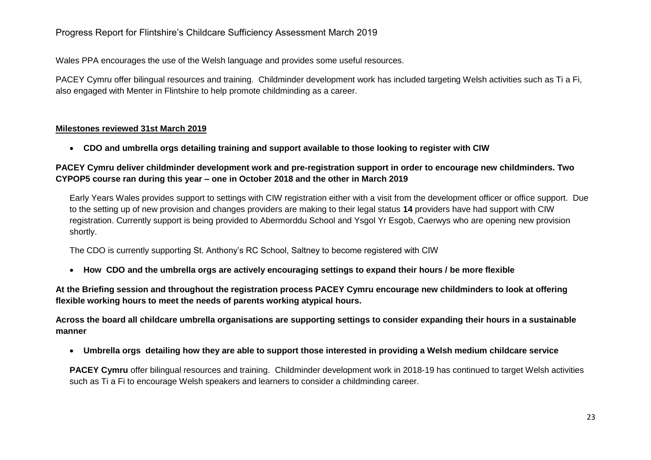# Progress Report for Flintshire's Childcare Sufficiency Assessment March 2019

Wales PPA encourages the use of the Welsh language and provides some useful resources.

PACEY Cymru offer bilingual resources and training. Childminder development work has included targeting Welsh activities such as Ti a Fi, also engaged with Menter in Flintshire to help promote childminding as a career.

## **Milestones reviewed 31st March 2019**

**CDO and umbrella orgs detailing training and support available to those looking to register with CIW**

## **PACEY Cymru deliver childminder development work and pre-registration support in order to encourage new childminders. Two CYPOP5 course ran during this year – one in October 2018 and the other in March 2019**

Early Years Wales provides support to settings with CIW registration either with a visit from the development officer or office support. Due to the setting up of new provision and changes providers are making to their legal status **14** providers have had support with CIW registration. Currently support is being provided to Abermorddu School and Ysgol Yr Esgob, Caerwys who are opening new provision shortly.

The CDO is currently supporting St. Anthony's RC School, Saltney to become registered with CIW

**How CDO and the umbrella orgs are actively encouraging settings to expand their hours / be more flexible**

**At the Briefing session and throughout the registration process PACEY Cymru encourage new childminders to look at offering flexible working hours to meet the needs of parents working atypical hours.**

**Across the board all childcare umbrella organisations are supporting settings to consider expanding their hours in a sustainable manner**

**Umbrella orgs detailing how they are able to support those interested in providing a Welsh medium childcare service**

**PACEY Cymru** offer bilingual resources and training. Childminder development work in 2018-19 has continued to target Welsh activities such as Ti a Fi to encourage Welsh speakers and learners to consider a childminding career.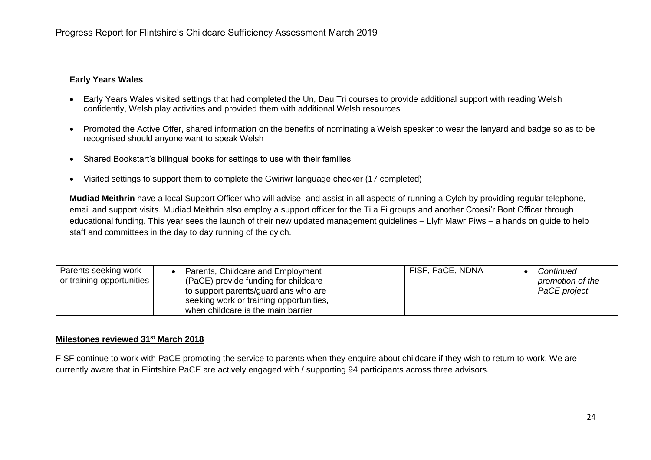## **Early Years Wales**

- Early Years Wales visited settings that had completed the Un, Dau Tri courses to provide additional support with reading Welsh confidently, Welsh play activities and provided them with additional Welsh resources
- Promoted the Active Offer, shared information on the benefits of nominating a Welsh speaker to wear the lanyard and badge so as to be recognised should anyone want to speak Welsh
- Shared Bookstart's bilingual books for settings to use with their families
- Visited settings to support them to complete the Gwiriwr language checker (17 completed)

**Mudiad Meithrin** have a local Support Officer who will advise and assist in all aspects of running a Cylch by providing regular telephone, email and support visits. Mudiad Meithrin also employ a support officer for the Ti a Fi groups and another Croesi'r Bont Officer through educational funding. This year sees the launch of their new updated management guidelines – Llyfr Mawr Piws – a hands on guide to help staff and committees in the day to day running of the cylch.

| Parents seeking work<br>or training opportunities | Parents, Childcare and Employment<br>(PaCE) provide funding for childcare<br>to support parents/guardians who are<br>seeking work or training opportunities,<br>when childcare is the main barrier | FISF, PaCE, NDNA | Continued<br>promotion of the<br>PaCE project |
|---------------------------------------------------|----------------------------------------------------------------------------------------------------------------------------------------------------------------------------------------------------|------------------|-----------------------------------------------|
|---------------------------------------------------|----------------------------------------------------------------------------------------------------------------------------------------------------------------------------------------------------|------------------|-----------------------------------------------|

## **Milestones reviewed 31st March 2018**

FISF continue to work with PaCE promoting the service to parents when they enquire about childcare if they wish to return to work. We are currently aware that in Flintshire PaCE are actively engaged with / supporting 94 participants across three advisors.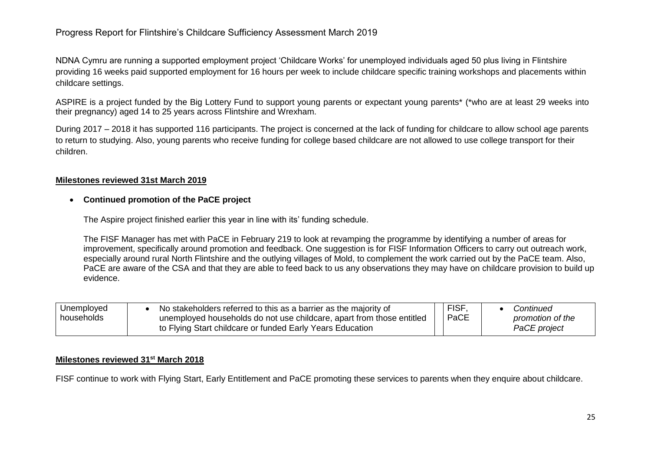NDNA Cymru are running a supported employment project 'Childcare Works' for unemployed individuals aged 50 plus living in Flintshire providing 16 weeks paid supported employment for 16 hours per week to include childcare specific training workshops and placements within childcare settings.

ASPIRE is a project funded by the Big Lottery Fund to support young parents or expectant young parents\* (\*who are at least 29 weeks into their pregnancy) aged 14 to 25 years across Flintshire and Wrexham.

During 2017 – 2018 it has supported 116 participants. The project is concerned at the lack of funding for childcare to allow school age parents to return to studying. Also, young parents who receive funding for college based childcare are not allowed to use college transport for their children.

## **Milestones reviewed 31st March 2019**

## **Continued promotion of the PaCE project**

The Aspire project finished earlier this year in line with its' funding schedule.

The FISF Manager has met with PaCE in February 219 to look at revamping the programme by identifying a number of areas for improvement, specifically around promotion and feedback. One suggestion is for FISF Information Officers to carry out outreach work, especially around rural North Flintshire and the outlying villages of Mold, to complement the work carried out by the PaCE team. Also, PaCE are aware of the CSA and that they are able to feed back to us any observations they may have on childcare provision to build up evidence.

| Unemployed | No stakeholders referred to this as a barrier as the majority of      | FISF. | Continued        |
|------------|-----------------------------------------------------------------------|-------|------------------|
| households | unemployed households do not use childcare, apart from those entitled | PaCE  | promotion of the |
|            | to Flying Start childcare or funded Early Years Education             |       | PaCE project     |

## **Milestones reviewed 31st March 2018**

FISF continue to work with Flying Start, Early Entitlement and PaCE promoting these services to parents when they enquire about childcare.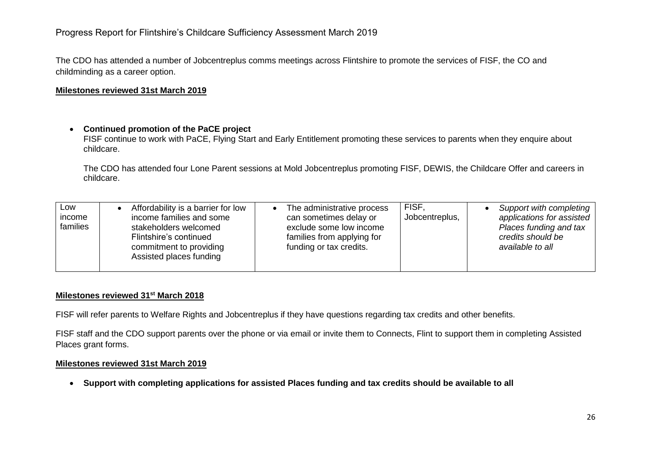The CDO has attended a number of Jobcentreplus comms meetings across Flintshire to promote the services of FISF, the CO and childminding as a career option.

## **Milestones reviewed 31st March 2019**

# **Continued promotion of the PaCE project**

FISF continue to work with PaCE, Flying Start and Early Entitlement promoting these services to parents when they enquire about childcare.

The CDO has attended four Lone Parent sessions at Mold Jobcentreplus promoting FISF, DEWIS, the Childcare Offer and careers in childcare.

| LOW<br>income<br>families | Affordability is a barrier for low<br>income families and some<br>stakeholders welcomed<br>Flintshire's continued<br>commitment to providing<br>Assisted places funding | The administrative process<br>can sometimes delay or<br>exclude some low income<br>families from applying for<br>funding or tax credits. | <b>FISF</b><br>Jobcentreplus, | Support with completing<br>applications for assisted<br>Places funding and tax<br>credits should be<br>available to all |
|---------------------------|-------------------------------------------------------------------------------------------------------------------------------------------------------------------------|------------------------------------------------------------------------------------------------------------------------------------------|-------------------------------|-------------------------------------------------------------------------------------------------------------------------|
|---------------------------|-------------------------------------------------------------------------------------------------------------------------------------------------------------------------|------------------------------------------------------------------------------------------------------------------------------------------|-------------------------------|-------------------------------------------------------------------------------------------------------------------------|

# **Milestones reviewed 31st March 2018**

FISF will refer parents to Welfare Rights and Jobcentreplus if they have questions regarding tax credits and other benefits.

FISF staff and the CDO support parents over the phone or via email or invite them to Connects, Flint to support them in completing Assisted Places grant forms.

## **Milestones reviewed 31st March 2019**

**Support with completing applications for assisted Places funding and tax credits should be available to all**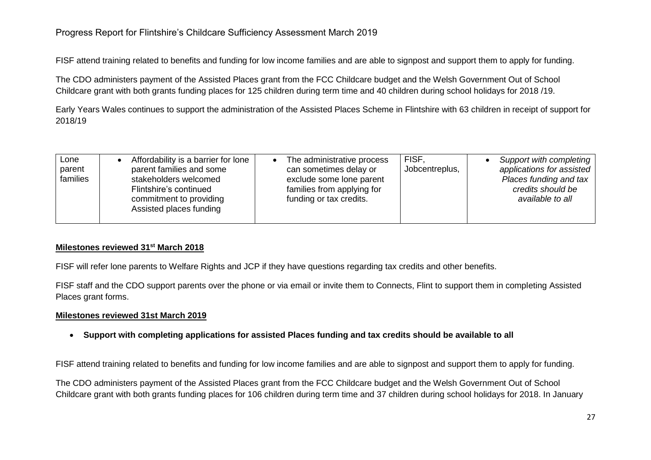# Progress Report for Flintshire's Childcare Sufficiency Assessment March 2019

FISF attend training related to benefits and funding for low income families and are able to signpost and support them to apply for funding.

The CDO administers payment of the Assisted Places grant from the FCC Childcare budget and the Welsh Government Out of School Childcare grant with both grants funding places for 125 children during term time and 40 children during school holidays for 2018 /19.

Early Years Wales continues to support the administration of the Assisted Places Scheme in Flintshire with 63 children in receipt of support for 2018/19

| ∟one<br>parent<br>families | Affordability is a barrier for lone<br>parent families and some<br>stakeholders welcomed<br>Flintshire's continued<br>commitment to providing<br>Assisted places funding | The administrative process<br>can sometimes delay or<br>exclude some lone parent<br>families from applying for<br>funding or tax credits. | <b>FISF.</b><br>Jobcentreplus, | Support with completing<br>applications for assisted<br>Places funding and tax<br>credits should be<br>available to all |
|----------------------------|--------------------------------------------------------------------------------------------------------------------------------------------------------------------------|-------------------------------------------------------------------------------------------------------------------------------------------|--------------------------------|-------------------------------------------------------------------------------------------------------------------------|
|----------------------------|--------------------------------------------------------------------------------------------------------------------------------------------------------------------------|-------------------------------------------------------------------------------------------------------------------------------------------|--------------------------------|-------------------------------------------------------------------------------------------------------------------------|

## **Milestones reviewed 31st March 2018**

FISF will refer lone parents to Welfare Rights and JCP if they have questions regarding tax credits and other benefits.

FISF staff and the CDO support parents over the phone or via email or invite them to Connects, Flint to support them in completing Assisted Places grant forms.

## **Milestones reviewed 31st March 2019**

**Support with completing applications for assisted Places funding and tax credits should be available to all**

FISF attend training related to benefits and funding for low income families and are able to signpost and support them to apply for funding.

The CDO administers payment of the Assisted Places grant from the FCC Childcare budget and the Welsh Government Out of School Childcare grant with both grants funding places for 106 children during term time and 37 children during school holidays for 2018. In January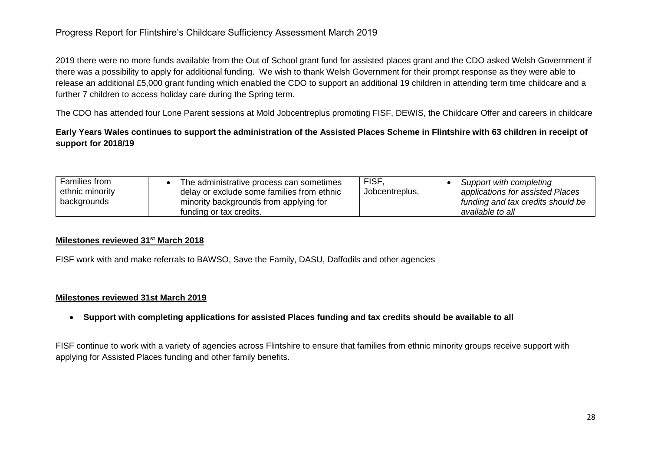# Progress Report for Flintshire's Childcare Sufficiency Assessment March 2019

2019 there were no more funds available from the Out of School grant fund for assisted places grant and the CDO asked Welsh Government if there was a possibility to apply for additional funding. We wish to thank Welsh Government for their prompt response as they were able to release an additional £5,000 grant funding which enabled the CDO to support an additional 19 children in attending term time childcare and a further 7 children to access holiday care during the Spring term.

The CDO has attended four Lone Parent sessions at Mold Jobcentreplus promoting FISF, DEWIS, the Childcare Offer and careers in childcare

# **Early Years Wales continues to support the administration of the Assisted Places Scheme in Flintshire with 63 children in receipt of support for 2018/19**

| Families from<br>ethnic minority<br>backgrounds | The administrative process can sometimes<br>delay or exclude some families from ethnic<br>minority backgrounds from applying for<br>funding or tax credits. | <b>FISF</b><br>Jobcentreplus, | Support with completing<br>applications for assisted Places<br>funding and tax credits should be<br>available to all |
|-------------------------------------------------|-------------------------------------------------------------------------------------------------------------------------------------------------------------|-------------------------------|----------------------------------------------------------------------------------------------------------------------|
|-------------------------------------------------|-------------------------------------------------------------------------------------------------------------------------------------------------------------|-------------------------------|----------------------------------------------------------------------------------------------------------------------|

## **Milestones reviewed 31st March 2018**

FISF work with and make referrals to BAWSO, Save the Family, DASU, Daffodils and other agencies

## **Milestones reviewed 31st March 2019**

**Support with completing applications for assisted Places funding and tax credits should be available to all**

FISF continue to work with a variety of agencies across Flintshire to ensure that families from ethnic minority groups receive support with applying for Assisted Places funding and other family benefits.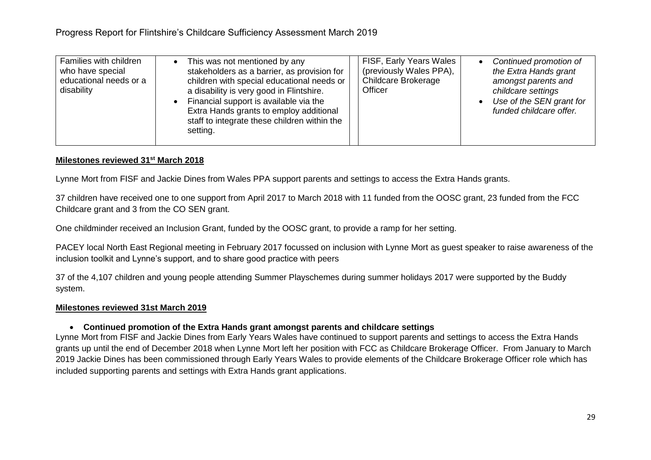| Families with children<br>who have special<br>educational needs or a<br>disability | This was not mentioned by any<br>$\bullet$<br>stakeholders as a barrier, as provision for<br>children with special educational needs or<br>a disability is very good in Flintshire.<br>Financial support is available via the<br>Extra Hands grants to employ additional<br>staff to integrate these children within the<br>setting. | FISF, Early Years Wales<br>(previously Wales PPA),<br>Childcare Brokerage<br>Officer | Continued promotion of<br>the Extra Hands grant<br>amongst parents and<br>childcare settings<br>Use of the SEN grant for<br>funded childcare offer. |
|------------------------------------------------------------------------------------|--------------------------------------------------------------------------------------------------------------------------------------------------------------------------------------------------------------------------------------------------------------------------------------------------------------------------------------|--------------------------------------------------------------------------------------|-----------------------------------------------------------------------------------------------------------------------------------------------------|
|------------------------------------------------------------------------------------|--------------------------------------------------------------------------------------------------------------------------------------------------------------------------------------------------------------------------------------------------------------------------------------------------------------------------------------|--------------------------------------------------------------------------------------|-----------------------------------------------------------------------------------------------------------------------------------------------------|

Lynne Mort from FISF and Jackie Dines from Wales PPA support parents and settings to access the Extra Hands grants.

37 children have received one to one support from April 2017 to March 2018 with 11 funded from the OOSC grant, 23 funded from the FCC Childcare grant and 3 from the CO SEN grant.

One childminder received an Inclusion Grant, funded by the OOSC grant, to provide a ramp for her setting.

PACEY local North East Regional meeting in February 2017 focussed on inclusion with Lynne Mort as guest speaker to raise awareness of the inclusion toolkit and Lynne's support, and to share good practice with peers

37 of the 4,107 children and young people attending Summer Playschemes during summer holidays 2017 were supported by the Buddy system.

#### **Milestones reviewed 31st March 2019**

#### **Continued promotion of the Extra Hands grant amongst parents and childcare settings**

Lynne Mort from FISF and Jackie Dines from Early Years Wales have continued to support parents and settings to access the Extra Hands grants up until the end of December 2018 when Lynne Mort left her position with FCC as Childcare Brokerage Officer. From January to March 2019 Jackie Dines has been commissioned through Early Years Wales to provide elements of the Childcare Brokerage Officer role which has included supporting parents and settings with Extra Hands grant applications.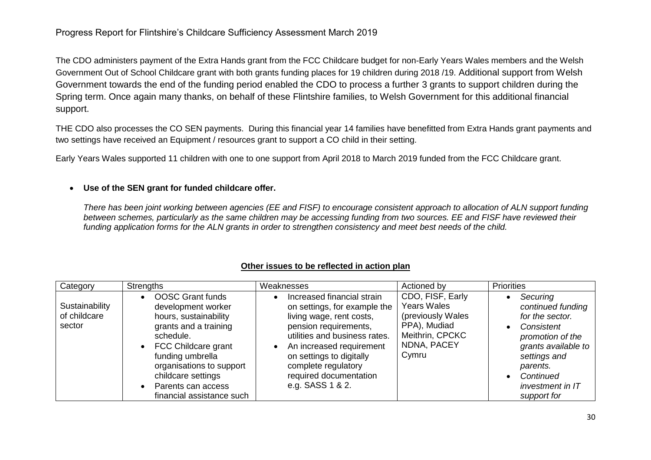The CDO administers payment of the Extra Hands grant from the FCC Childcare budget for non-Early Years Wales members and the Welsh Government Out of School Childcare grant with both grants funding places for 19 children during 2018 /19. Additional support from Welsh Government towards the end of the funding period enabled the CDO to process a further 3 grants to support children during the Spring term. Once again many thanks, on behalf of these Flintshire families, to Welsh Government for this additional financial support.

THE CDO also processes the CO SEN payments. During this financial year 14 families have benefitted from Extra Hands grant payments and two settings have received an Equipment / resources grant to support a CO child in their setting.

Early Years Wales supported 11 children with one to one support from April 2018 to March 2019 funded from the FCC Childcare grant.

## **Use of the SEN grant for funded childcare offer.**

*There has been joint working between agencies (EE and FISF) to encourage consistent approach to allocation of ALN support funding between schemes, particularly as the same children may be accessing funding from two sources. EE and FISF have reviewed their funding application forms for the ALN grants in order to strengthen consistency and meet best needs of the child.*

| Category                                 | <b>Strengths</b>                                                                                                                                                                                                                                             | Weaknesses                                                                                                                                                                                                                                                                                              | Actioned by                                                                                                     | <b>Priorities</b>                                                                                                                                                                                               |
|------------------------------------------|--------------------------------------------------------------------------------------------------------------------------------------------------------------------------------------------------------------------------------------------------------------|---------------------------------------------------------------------------------------------------------------------------------------------------------------------------------------------------------------------------------------------------------------------------------------------------------|-----------------------------------------------------------------------------------------------------------------|-----------------------------------------------------------------------------------------------------------------------------------------------------------------------------------------------------------------|
| Sustainability<br>of childcare<br>sector | <b>OOSC Grant funds</b><br>development worker<br>hours, sustainability<br>grants and a training<br>schedule.<br>FCC Childcare grant<br>funding umbrella<br>organisations to support<br>childcare settings<br>Parents can access<br>financial assistance such | Increased financial strain<br>$\bullet$<br>on settings, for example the<br>living wage, rent costs,<br>pension requirements,<br>utilities and business rates.<br>An increased requirement<br>$\bullet$<br>on settings to digitally<br>complete regulatory<br>required documentation<br>e.g. SASS 1 & 2. | CDO, FISF, Early<br>Years Wales<br>(previously Wales<br>PPA), Mudiad<br>Meithrin, CPCKC<br>NDNA, PACEY<br>Cymru | Securing<br>$\bullet$<br>continued funding<br>for the sector.<br>Consistent<br>promotion of the<br>grants available to<br>settings and<br>parents.<br>Continued<br>$\bullet$<br>investment in IT<br>support for |

# **Other issues to be reflected in action plan**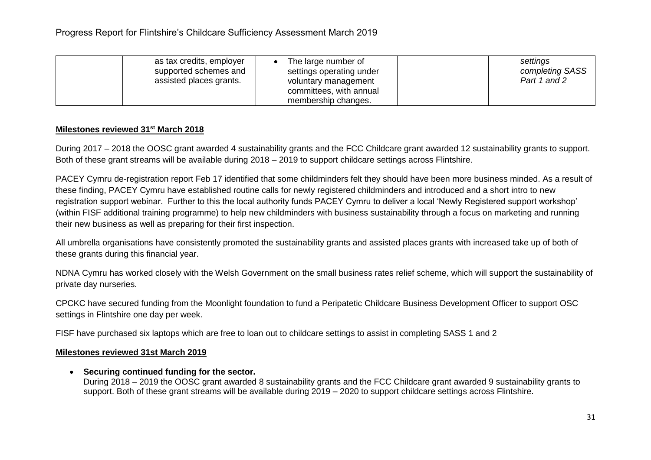| as tax credits, employer<br>supported schemes and<br>assisted places grants. | The large number of<br>settings operating under<br>voluntary management<br>committees, with annual<br>membership changes. | settings<br>completing SASS<br>Part 1 and 2 |
|------------------------------------------------------------------------------|---------------------------------------------------------------------------------------------------------------------------|---------------------------------------------|
|------------------------------------------------------------------------------|---------------------------------------------------------------------------------------------------------------------------|---------------------------------------------|

During 2017 – 2018 the OOSC grant awarded 4 sustainability grants and the FCC Childcare grant awarded 12 sustainability grants to support. Both of these grant streams will be available during 2018 – 2019 to support childcare settings across Flintshire.

PACEY Cymru de-registration report Feb 17 identified that some childminders felt they should have been more business minded. As a result of these finding, PACEY Cymru have established routine calls for newly registered childminders and introduced and a short intro to new registration support webinar. Further to this the local authority funds PACEY Cymru to deliver a local 'Newly Registered support workshop' (within FISF additional training programme) to help new childminders with business sustainability through a focus on marketing and running their new business as well as preparing for their first inspection.

All umbrella organisations have consistently promoted the sustainability grants and assisted places grants with increased take up of both of these grants during this financial year.

NDNA Cymru has worked closely with the Welsh Government on the small business rates relief scheme, which will support the sustainability of private day nurseries.

CPCKC have secured funding from the Moonlight foundation to fund a Peripatetic Childcare Business Development Officer to support OSC settings in Flintshire one day per week.

FISF have purchased six laptops which are free to loan out to childcare settings to assist in completing SASS 1 and 2

## **Milestones reviewed 31st March 2019**

**Securing continued funding for the sector.**

During 2018 – 2019 the OOSC grant awarded 8 sustainability grants and the FCC Childcare grant awarded 9 sustainability grants to support. Both of these grant streams will be available during 2019 – 2020 to support childcare settings across Flintshire.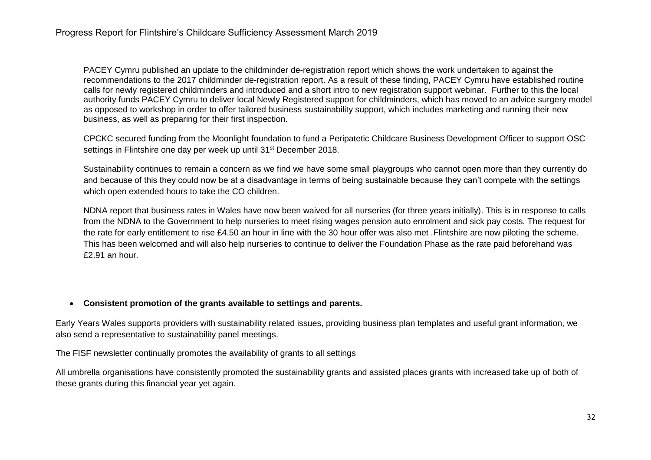PACEY Cymru published an [update to the childminder de-registration report](https://www.pacey.org.uk/news-and-views/news/archive/2018-news/may-2018/latest-on-childminder-de-registrations-in-wales/) which shows the work undertaken to against the recommendations to the 2017 childminder de-registration report. As a result of these finding, PACEY Cymru have established routine calls for newly registered childminders and introduced and a short intro to new registration support webinar. Further to this the local authority funds PACEY Cymru to deliver local Newly Registered support for childminders, which has moved to an advice surgery model as opposed to workshop in order to offer tailored business sustainability support, which includes marketing and running their new business, as well as preparing for their first inspection.

CPCKC secured funding from the Moonlight foundation to fund a Peripatetic Childcare Business Development Officer to support OSC settings in Flintshire one day per week up until 31<sup>st</sup> December 2018.

Sustainability continues to remain a concern as we find we have some small playgroups who cannot open more than they currently do and because of this they could now be at a disadvantage in terms of being sustainable because they can't compete with the settings which open extended hours to take the CO children.

NDNA report that business rates in Wales have now been waived for all nurseries (for three years initially). This is in response to calls from the NDNA to the Government to help nurseries to meet rising wages pension auto enrolment and sick pay costs. The request for the rate for early entitlement to rise £4.50 an hour in line with the 30 hour offer was also met .Flintshire are now piloting the scheme. This has been welcomed and will also help nurseries to continue to deliver the Foundation Phase as the rate paid beforehand was £2.91 an hour.

## **Consistent promotion of the grants available to settings and parents.**

Early Years Wales supports providers with sustainability related issues, providing business plan templates and useful grant information, we also send a representative to sustainability panel meetings.

The FISF newsletter continually promotes the availability of grants to all settings

All umbrella organisations have consistently promoted the sustainability grants and assisted places grants with increased take up of both of these grants during this financial year yet again.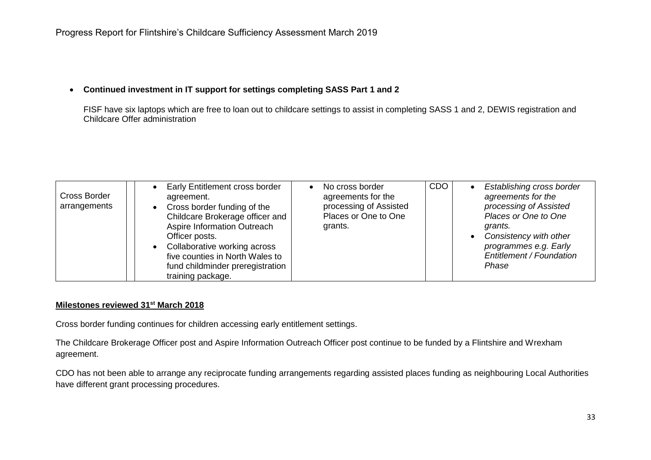## **Continued investment in IT support for settings completing SASS Part 1 and 2**

FISF have six laptops which are free to loan out to childcare settings to assist in completing SASS 1 and 2, DEWIS registration and Childcare Offer administration

| Cross Border<br>arrangements |  | Early Entitlement cross border<br>agreement.<br>Cross border funding of the<br>Childcare Brokerage officer and<br>Aspire Information Outreach<br>Officer posts.<br>Collaborative working across<br>five counties in North Wales to<br>fund childminder preregistration<br>training package. |  | No cross border<br>agreements for the<br>processing of Assisted<br>Places or One to One<br>grants. | <b>CDO</b> |  | Establishing cross border<br>agreements for the<br>processing of Assisted<br>Places or One to One<br>grants.<br>Consistency with other<br>programmes e.g. Early<br>Entitlement / Foundation<br>Phase |
|------------------------------|--|---------------------------------------------------------------------------------------------------------------------------------------------------------------------------------------------------------------------------------------------------------------------------------------------|--|----------------------------------------------------------------------------------------------------|------------|--|------------------------------------------------------------------------------------------------------------------------------------------------------------------------------------------------------|
|------------------------------|--|---------------------------------------------------------------------------------------------------------------------------------------------------------------------------------------------------------------------------------------------------------------------------------------------|--|----------------------------------------------------------------------------------------------------|------------|--|------------------------------------------------------------------------------------------------------------------------------------------------------------------------------------------------------|

#### **Milestones reviewed 31st March 2018**

Cross border funding continues for children accessing early entitlement settings.

The Childcare Brokerage Officer post and Aspire Information Outreach Officer post continue to be funded by a Flintshire and Wrexham agreement.

CDO has not been able to arrange any reciprocate funding arrangements regarding assisted places funding as neighbouring Local Authorities have different grant processing procedures.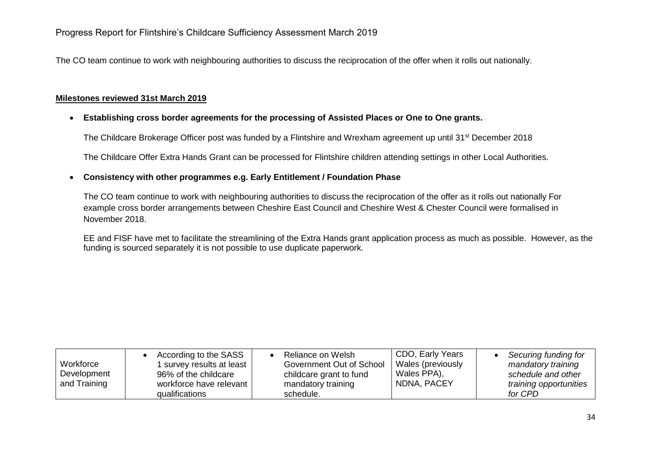The CO team continue to work with neighbouring authorities to discuss the reciprocation of the offer when it rolls out nationally.

# **Milestones reviewed 31st March 2019**

## **Establishing cross border agreements for the processing of Assisted Places or One to One grants.**

The Childcare Brokerage Officer post was funded by a Flintshire and Wrexham agreement up until 31<sup>st</sup> December 2018

The Childcare Offer Extra Hands Grant can be processed for Flintshire children attending settings in other Local Authorities.

## **Consistency with other programmes e.g. Early Entitlement / Foundation Phase**

The CO team continue to work with neighbouring authorities to discuss the reciprocation of the offer as it rolls out nationally For example cross border arrangements between Cheshire East Council and Cheshire West & Chester Council were formalised in November 2018.

EE and FISF have met to facilitate the streamlining of the Extra Hands grant application process as much as possible. However, as the funding is sourced separately it is not possible to use duplicate paperwork.

| Workforce<br>Development<br>and Training | According to the SASS<br>survey results at least<br>96% of the childcare<br>workforce have relevant<br>qualifications | Reliance on Welsh<br>Government Out of School<br>childcare grant to fund<br>mandatory training<br>schedule. | CDO, Early Years<br>Wales (previously<br>Wales PPA),<br>NDNA, PACEY | Securing funding for<br>mandatory training<br>schedule and other<br>training opportunities<br>for CPD |
|------------------------------------------|-----------------------------------------------------------------------------------------------------------------------|-------------------------------------------------------------------------------------------------------------|---------------------------------------------------------------------|-------------------------------------------------------------------------------------------------------|
|------------------------------------------|-----------------------------------------------------------------------------------------------------------------------|-------------------------------------------------------------------------------------------------------------|---------------------------------------------------------------------|-------------------------------------------------------------------------------------------------------|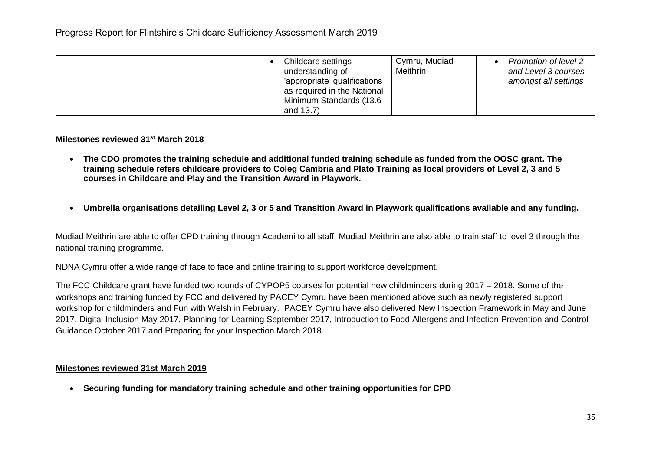| Childcare settings<br>understanding of<br>'appropriate' qualifications<br>as required in the National<br>Minimum Standards (13.6<br>and 13.7) | Cymru, Mudiad<br>Meithrin | Promotion of level 2<br>and Level 3 courses<br>amongst all settings |
|-----------------------------------------------------------------------------------------------------------------------------------------------|---------------------------|---------------------------------------------------------------------|
|-----------------------------------------------------------------------------------------------------------------------------------------------|---------------------------|---------------------------------------------------------------------|

- **The CDO promotes the training schedule and additional funded training schedule as funded from the OOSC grant. The training schedule refers childcare providers to Coleg Cambria and Plato Training as local providers of Level 2, 3 and 5 courses in Childcare and Play and the Transition Award in Playwork.**
- **Umbrella organisations detailing Level 2, 3 or 5 and Transition Award in Playwork qualifications available and any funding.**

Mudiad Meithrin are able to offer CPD training through Academi to all staff. Mudiad Meithrin are also able to train staff to level 3 through the national training programme.

NDNA Cymru offer a wide range of face to face and online training to support workforce development.

The FCC Childcare grant have funded two rounds of CYPOP5 courses for potential new childminders during 2017 – 2018. Some of the workshops and training funded by FCC and delivered by PACEY Cymru have been mentioned above such as newly registered support workshop for childminders and Fun with Welsh in February. PACEY Cymru have also delivered New Inspection Framework in May and June 2017, Digital Inclusion May 2017, Planning for Learning September 2017, Introduction to Food Allergens and Infection Prevention and Control Guidance October 2017 and Preparing for your Inspection March 2018.

## **Milestones reviewed 31st March 2019**

**Securing funding for mandatory training schedule and other training opportunities for CPD**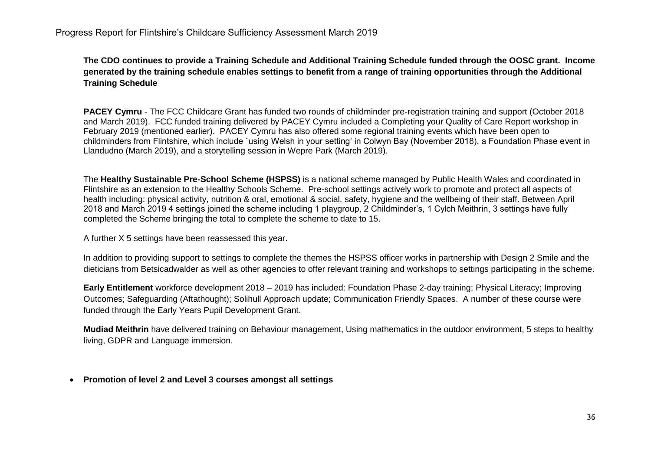**The CDO continues to provide a Training Schedule and Additional Training Schedule funded through the OOSC grant. Income generated by the training schedule enables settings to benefit from a range of training opportunities through the Additional Training Schedule**

**PACEY Cymru** - The FCC Childcare Grant has funded two rounds of childminder pre-registration training and support (October 2018 and March 2019). FCC funded training delivered by PACEY Cymru included a Completing your Quality of Care Report workshop in February 2019 (mentioned earlier). PACEY Cymru has also offered some regional training events which have been open to childminders from Flintshire, which include `using Welsh in your setting' in Colwyn Bay (November 2018), a Foundation Phase event in Llandudno (March 2019), and a storytelling session in Wepre Park (March 2019).

The **Healthy Sustainable Pre-School Scheme (HSPSS)** is a national scheme managed by Public Health Wales and coordinated in Flintshire as an extension to the Healthy Schools Scheme. Pre-school settings actively work to promote and protect all aspects of health including: physical activity, nutrition & oral, emotional & social, safety, hygiene and the wellbeing of their staff. Between April 2018 and March 2019 4 settings joined the scheme including 1 playgroup, 2 Childminder's, 1 Cylch Meithrin, 3 settings have fully completed the Scheme bringing the total to complete the scheme to date to 15.

A further X 5 settings have been reassessed this year.

In addition to providing support to settings to complete the themes the HSPSS officer works in partnership with Design 2 Smile and the dieticians from Betsicadwalder as well as other agencies to offer relevant training and workshops to settings participating in the scheme.

**Early Entitlement** workforce development 2018 – 2019 has included: Foundation Phase 2-day training; Physical Literacy; Improving Outcomes; Safeguarding (Aftathought); Solihull Approach update; Communication Friendly Spaces. A number of these course were funded through the Early Years Pupil Development Grant.

**Mudiad Meithrin** have delivered training on Behaviour management, Using mathematics in the outdoor environment, 5 steps to healthy living, GDPR and Language immersion.

## **Promotion of level 2 and Level 3 courses amongst all settings**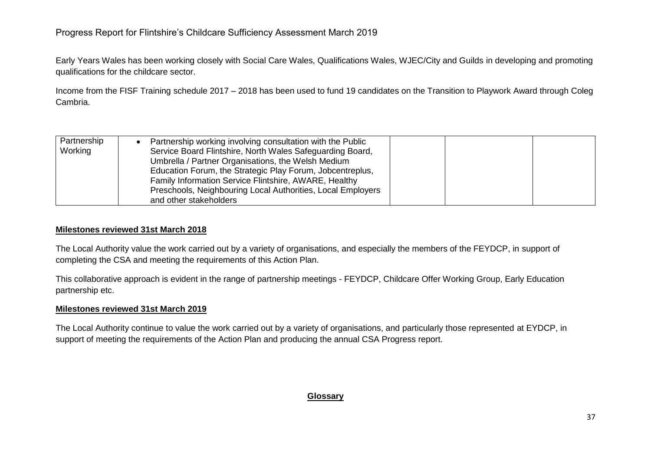Early Years Wales has been working closely with Social Care Wales, Qualifications Wales, WJEC/City and Guilds in developing and promoting qualifications for the childcare sector.

Income from the FISF Training schedule 2017 – 2018 has been used to fund 19 candidates on the Transition to Playwork Award through Coleg Cambria.

| Partnership<br>Working | Partnership working involving consultation with the Public<br>Service Board Flintshire, North Wales Safeguarding Board,<br>Umbrella / Partner Organisations, the Welsh Medium<br>Education Forum, the Strategic Play Forum, Jobcentreplus,<br>Family Information Service Flintshire, AWARE, Healthy<br>Preschools, Neighbouring Local Authorities, Local Employers |  |
|------------------------|--------------------------------------------------------------------------------------------------------------------------------------------------------------------------------------------------------------------------------------------------------------------------------------------------------------------------------------------------------------------|--|
|                        | and other stakeholders                                                                                                                                                                                                                                                                                                                                             |  |

## **Milestones reviewed 31st March 2018**

The Local Authority value the work carried out by a variety of organisations, and especially the members of the FEYDCP, in support of completing the CSA and meeting the requirements of this Action Plan.

This collaborative approach is evident in the range of partnership meetings - FEYDCP, Childcare Offer Working Group, Early Education partnership etc.

## **Milestones reviewed 31st March 2019**

The Local Authority continue to value the work carried out by a variety of organisations, and particularly those represented at EYDCP, in support of meeting the requirements of the Action Plan and producing the annual CSA Progress report.

## **Glossary**